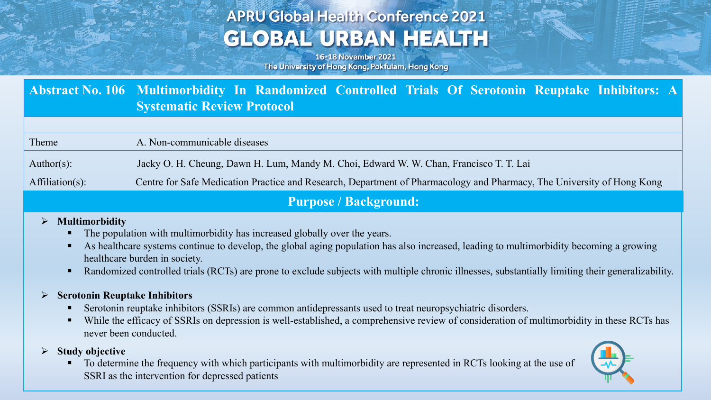# **APRU Global Health Conference 2021 GLOBAL URBAN HEALTH**

16-18 November 2021 The University of Hong Kong, Pokfulam, Hong Kong

| Abstract No. 106 Multimorbidity In Randomized Controlled Trials Of Serotonin Reuptake Inhibitors: A |                            |  |  |  |  |  |  |  |
|-----------------------------------------------------------------------------------------------------|----------------------------|--|--|--|--|--|--|--|
|                                                                                                     | Systematic Review Protocol |  |  |  |  |  |  |  |

Theme A. Non-communicable diseases Author(s): Jacky O. H. Cheung, Dawn H. Lum, Mandy M. Choi, Edward W. W. Chan, Francisco T. T. Lai Affiliation(s): Centre for Safe Medication Practice and Research, Department of Pharmacology and Pharmacy, The University of Hong Kong

### **Purpose / Background:**

#### Ø **Multimorbidity**

- The population with multimorbidity has increased globally over the years.
- § As healthcare systems continue to develop, the global aging population has also increased, leading to multimorbidity becoming a growing healthcare burden in society.
- Randomized controlled trials (RCTs) are prone to exclude subjects with multiple chronic illnesses, substantially limiting their generalizability.

#### Ø **Serotonin Reuptake Inhibitors**

- Serotonin reuptake inhibitors (SSRIs) are common antidepressants used to treat neuropsychiatric disorders.
- While the efficacy of SSRIs on depression is well-established, a comprehensive review of consideration of multimorbidity in these RCTs has never been conducted.
- Ø **Study objective**
	- § To determine the frequency with which participants with multimorbidity are represented in RCTs looking at the use of SSRI as the intervention for depressed patients

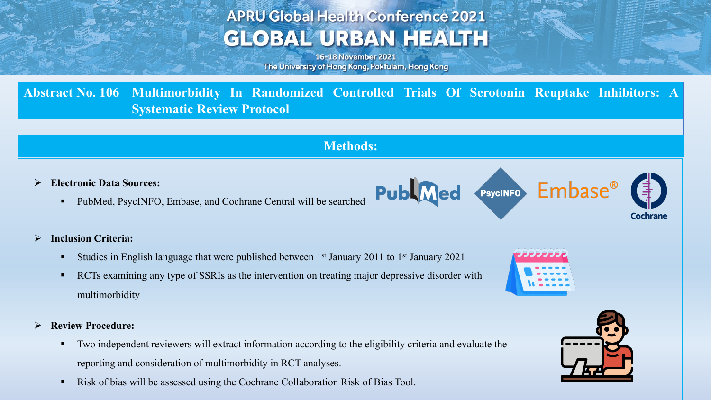# **APRU Global Health Conference 2021 GLOBAL URBAN HEALTH**

16-18 November 2021 The University of Hong Kong, Pokfulam, Hong Kong

**Abstract No. 106 Multimorbidity In Randomized Controlled Trials Of Serotonin Reuptake Inhibitors: A Systematic Review Protocol**

## **Methods:**

**Publ**Med

- Ø **Electronic Data Sources:**
	- § PubMed, PsycINFO, Embase, and Cochrane Central will be searched
- Ø **Inclusion Criteria:**
	- **•** Studies in English language that were published between  $1<sup>st</sup>$  January 2011 to  $1<sup>st</sup>$  January 2021
	- **•** RCTs examining any type of SSRIs as the intervention on treating major depressive disorder with multimorbidity
- Ø **Review Procedure:**
	- Two independent reviewers will extract information according to the eligibility criteria and evaluate the reporting and consideration of multimorbidity in RCT analyses.
	- Risk of bias will be assessed using the Cochrane Collaboration Risk of Bias Tool.



PsycINFO Embase<sup>®</sup>